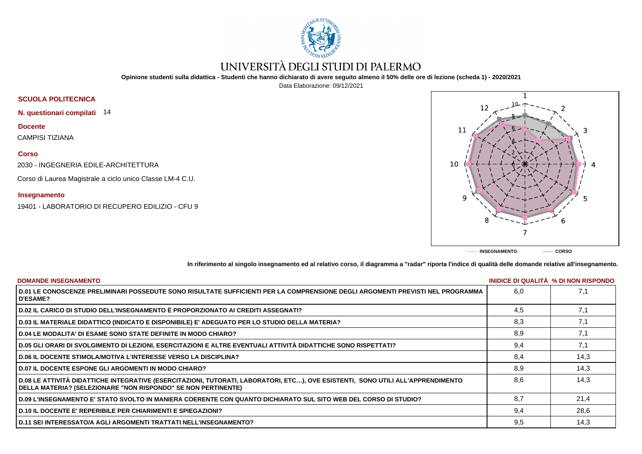

# UNIVERSITÀ DEGLI STUDI DI PALERMO

**Opinione studenti sulla didattica - Studenti che hanno dichiarato di avere seguito almeno il 50% delle ore di lezione (scheda 1) - 2020/2021**

Data Elaborazione: 09/12/2021



**N. questionari compilati** 14

**Docente**

CAMPISI TIZIANA

## **Corso**

2030 - INGEGNERIA EDILE-ARCHITETTURA

Corso di Laurea Magistrale a ciclo unico Classe LM-4 C.U.

### **Insegnamento**

19401 - LABORATORIO DI RECUPERO EDILIZIO - CFU 9



**In riferimento al singolo insegnamento ed al relativo corso, il diagramma a "radar" riporta l'indice di qualità delle domande relative all'insegnamento.**

| <b>DOMANDE INSEGNAMENTO</b>                                                                                                                                                                             |     | INIDICE DI QUALITA % DI NON RISPONDO |
|---------------------------------------------------------------------------------------------------------------------------------------------------------------------------------------------------------|-----|--------------------------------------|
| D.01 LE CONOSCENZE PRELIMINARI POSSEDUTE SONO RISULTATE SUFFICIENTI PER LA COMPRENSIONE DEGLI ARGOMENTI PREVISTI NEL PROGRAMMA<br><b>D'ESAME?</b>                                                       | 6.0 | 7,1                                  |
| D.02 IL CARICO DI STUDIO DELL'INSEGNAMENTO È PROPORZIONATO AI CREDITI ASSEGNATI?                                                                                                                        | 4.5 | 7,1                                  |
| D.03 IL MATERIALE DIDATTICO (INDICATO E DISPONIBILE) E' ADEGUATO PER LO STUDIO DELLA MATERIA?                                                                                                           | 8,3 | 7,1                                  |
| <b>D.04 LE MODALITA' DI ESAME SONO STATE DEFINITE IN MODO CHIARO?</b>                                                                                                                                   | 8.9 | 7,1                                  |
| D.05 GLI ORARI DI SVOLGIMENTO DI LEZIONI, ESERCITAZIONI E ALTRE EVENTUALI ATTIVITÀ DIDATTICHE SONO RISPETTATI?                                                                                          | 9,4 | 7,1                                  |
| <b>D.06 IL DOCENTE STIMOLA/MOTIVA L'INTERESSE VERSO LA DISCIPLINA?</b>                                                                                                                                  | 8.4 | 14.3                                 |
| <b>D.07 IL DOCENTE ESPONE GLI ARGOMENTI IN MODO CHIARO?</b>                                                                                                                                             | 8.9 | 14,3                                 |
| D.08 LE ATTIVITÀ DIDATTICHE INTEGRATIVE (ESERCITAZIONI, TUTORATI, LABORATORI, ETC), OVE ESISTENTI, SONO UTILI ALL'APPRENDIMENTO<br><b>DELLA MATERIA? (SELEZIONARE "NON RISPONDO" SE NON PERTINENTE)</b> | 8.6 | 14.3                                 |
| D.09 L'INSEGNAMENTO E' STATO SVOLTO IN MANIERA COERENTE CON QUANTO DICHIARATO SUL SITO WEB DEL CORSO DI STUDIO?                                                                                         | 8.7 | 21,4                                 |
| <b>D.10 IL DOCENTE E' REPERIBILE PER CHIARIMENTI E SPIEGAZIONI?</b>                                                                                                                                     | 9.4 | 28,6                                 |
| <b>D.11 SEI INTERESSATO/A AGLI ARGOMENTI TRATTATI NELL'INSEGNAMENTO?</b>                                                                                                                                | 9,5 | 14,3                                 |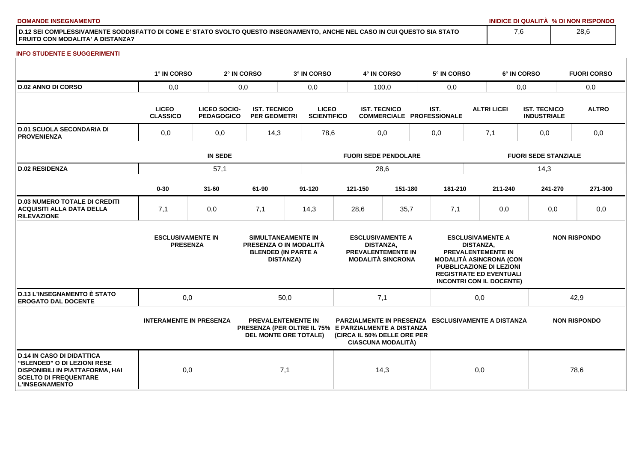**DOMANDE INSEGNAMENTO INIDICE DI QUALITÀ % DI NON RISPONDO**

**D.12 SEI COMPLESSIVAMENTE SODDISFATTO DI COME E' STATO SVOLTO QUESTO INSEGNAMENTO, ANCHE NEL CASO IN CUI QUESTO SIA STATO FRUITO CON MODALITA' A DISTANZA?**

### **INFO STUDENTE E SUGGERIMENTI**

|                                                                                                                                                                    | 1° IN CORSO                                 |                                          | 2° IN CORSO                                | 3° IN CORSO                                                                                                       |                             | 4° IN CORSO                                             |                                                                                  |      | 5° IN CORSO                                               |                             |                                                                                                                                                                                  | 6° IN CORSO                               |         | <b>FUORI CORSO</b>  |
|--------------------------------------------------------------------------------------------------------------------------------------------------------------------|---------------------------------------------|------------------------------------------|--------------------------------------------|-------------------------------------------------------------------------------------------------------------------|-----------------------------|---------------------------------------------------------|----------------------------------------------------------------------------------|------|-----------------------------------------------------------|-----------------------------|----------------------------------------------------------------------------------------------------------------------------------------------------------------------------------|-------------------------------------------|---------|---------------------|
| <b>D.02 ANNO DI CORSO</b>                                                                                                                                          | 0,0<br>0,0                                  |                                          |                                            | 0,0                                                                                                               |                             | 100,0                                                   |                                                                                  |      | 0,0                                                       |                             | 0,0                                                                                                                                                                              |                                           | 0,0     |                     |
|                                                                                                                                                                    | <b>LICEO</b><br><b>CLASSICO</b>             | <b>LICEO SOCIO-</b><br><b>PEDAGOGICO</b> | <b>IST. TECNICO</b><br><b>PER GEOMETRI</b> | <b>LICEO</b><br><b>SCIENTIFICO</b>                                                                                |                             | <b>IST. TECNICO</b><br><b>COMMERCIALE PROFESSIONALE</b> |                                                                                  | IST. |                                                           | <b>ALTRI LICEI</b>          |                                                                                                                                                                                  | <b>IST. TECNICO</b><br><b>INDUSTRIALE</b> |         | <b>ALTRO</b>        |
| <b>D.01 SCUOLA SECONDARIA DI</b><br><b>PROVENIENZA</b>                                                                                                             | 0,0<br>0,0                                  |                                          | 14,3                                       | 78,6                                                                                                              |                             | 0,0                                                     |                                                                                  |      | 0,0                                                       | 7,1                         |                                                                                                                                                                                  | 0,0                                       |         | 0,0                 |
|                                                                                                                                                                    | <b>IN SEDE</b>                              |                                          |                                            |                                                                                                                   | <b>FUORI SEDE PENDOLARE</b> |                                                         |                                                                                  |      |                                                           | <b>FUORI SEDE STANZIALE</b> |                                                                                                                                                                                  |                                           |         |                     |
| <b>D.02 RESIDENZA</b>                                                                                                                                              | 57,1                                        |                                          |                                            |                                                                                                                   | 28,6                        |                                                         |                                                                                  |      |                                                           |                             |                                                                                                                                                                                  | 14,3                                      |         |                     |
|                                                                                                                                                                    | $0 - 30$                                    | $31 - 60$                                | 61-90                                      | $91 - 120$                                                                                                        |                             | 121-150                                                 | 151-180                                                                          |      | 181-210                                                   |                             | 211-240                                                                                                                                                                          |                                           | 241-270 | 271-300             |
| <b>D.03 NUMERO TOTALE DI CREDITI</b><br><b>ACQUISITI ALLA DATA DELLA</b><br><b>RILEVAZIONE</b>                                                                     | 7,1                                         | 0,0                                      | 7,1                                        | 14,3                                                                                                              |                             | 28,6                                                    | 35,7                                                                             |      | 7,1                                                       |                             | 0,0                                                                                                                                                                              |                                           | 0,0     | 0,0                 |
|                                                                                                                                                                    | <b>ESCLUSIVAMENTE IN</b><br><b>PRESENZA</b> |                                          |                                            | SIMULTANEAMENTE IN<br>PRESENZA O IN MODALITÀ<br><b>BLENDED (IN PARTE A</b><br><b>DISTANZA)</b>                    |                             | <b>DISTANZA,</b>                                        | <b>ESCLUSIVAMENTE A</b><br><b>PREVALENTEMENTE IN</b><br><b>MODALITÀ SINCRONA</b> |      |                                                           | <b>DISTANZA.</b>            | <b>ESCLUSIVAMENTE A</b><br>PREVALENTEMENTE IN<br><b>MODALITÀ ASINCRONA (CON</b><br>PUBBLICAZIONE DI LEZIONI<br><b>REGISTRATE ED EVENTUALI</b><br><b>INCONTRI CON IL DOCENTE)</b> |                                           |         | <b>NON RISPONDO</b> |
| <b>D.13 L'INSEGNAMENTO È STATO</b><br><b>EROGATO DAL DOCENTE</b>                                                                                                   | 0,0                                         |                                          |                                            | 50,0                                                                                                              |                             | 7,1                                                     |                                                                                  |      |                                                           | 0,0                         |                                                                                                                                                                                  |                                           |         | 42,9                |
|                                                                                                                                                                    | <b>INTERAMENTE IN PRESENZA</b>              |                                          |                                            | <b>PREVALENTEMENTE IN</b><br>PRESENZA (PER OLTRE IL 75% E PARZIALMENTE A DISTANZA<br><b>DEL MONTE ORE TOTALE)</b> |                             |                                                         | (CIRCA IL 50% DELLE ORE PER<br><b>CIASCUNA MODALITÀ)</b>                         |      | <b>PARZIALMENTE IN PRESENZA ESCLUSIVAMENTE A DISTANZA</b> |                             |                                                                                                                                                                                  |                                           |         | <b>NON RISPONDO</b> |
| <b>D.14 IN CASO DI DIDATTICA</b><br><b>"BLENDED" O DI LEZIONI RESE</b><br>DISPONIBILI IN PIATTAFORMA, HAI<br><b>SCELTO DI FREQUENTARE</b><br><b>L'INSEGNAMENTO</b> | 0,0                                         |                                          |                                            | 7,1                                                                                                               |                             | 14,3                                                    |                                                                                  |      |                                                           | 0,0                         |                                                                                                                                                                                  |                                           |         | 78,6                |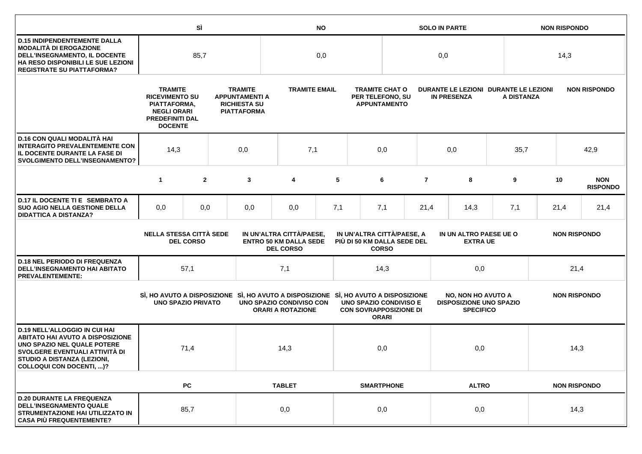|                                                                                                                                                                                                             |                                                                                                                           | SÌ                                                                                                                                                                                                                                         |  | <b>NO</b>                                                                           |                                                      |                     |                                                                  |                   | <b>SOLO IN PARTE</b>                                        |                                                                                 |              |                     | <b>NON RISPONDO</b> |                     |                               |
|-------------------------------------------------------------------------------------------------------------------------------------------------------------------------------------------------------------|---------------------------------------------------------------------------------------------------------------------------|--------------------------------------------------------------------------------------------------------------------------------------------------------------------------------------------------------------------------------------------|--|-------------------------------------------------------------------------------------|------------------------------------------------------|---------------------|------------------------------------------------------------------|-------------------|-------------------------------------------------------------|---------------------------------------------------------------------------------|--------------|---------------------|---------------------|---------------------|-------------------------------|
| <b>D.15 INDIPENDENTEMENTE DALLA</b><br><b>MODALITÀ DI EROGAZIONE</b><br>DELL'INSEGNAMENTO, IL DOCENTE<br>HA RESO DISPONIBILI LE SUE LEZIONI<br><b>REGISTRATE SU PIATTAFORMA?</b>                            | 85,7                                                                                                                      |                                                                                                                                                                                                                                            |  |                                                                                     | 0,0                                                  |                     |                                                                  | 0,0               |                                                             |                                                                                 |              |                     | 14,3                |                     |                               |
|                                                                                                                                                                                                             | <b>TRAMITE</b><br><b>RICEVIMENTO SU</b><br>PIATTAFORMA,<br><b>NEGLI ORARI</b><br><b>PREDEFINITI DAL</b><br><b>DOCENTE</b> | <b>TRAMITE</b><br><b>APPUNTAMENTI A</b><br><b>RICHIESTA SU</b><br><b>PIATTAFORMA</b>                                                                                                                                                       |  |                                                                                     | <b>TRAMITE EMAIL</b>                                 |                     | <b>TRAMITE CHAT O</b><br>PER TELEFONO, SU<br><b>APPUNTAMENTO</b> |                   | DURANTE LE LEZIONI DURANTE LE LEZIONI<br><b>IN PRESENZA</b> |                                                                                 |              | A DISTANZA          |                     | <b>NON RISPONDO</b> |                               |
| D.16 CON QUALI MODALITÀ HAI<br><b>INTERAGITO PREVALENTEMENTE CON</b><br>IL DOCENTE DURANTE LA FASE DI<br><b>SVOLGIMENTO DELL'INSEGNAMENTO?</b>                                                              | 14,3<br>0,0                                                                                                               |                                                                                                                                                                                                                                            |  | 7,1                                                                                 |                                                      | 0,0                 |                                                                  |                   | 0,0                                                         |                                                                                 | 35,7         |                     |                     | 42,9                |                               |
|                                                                                                                                                                                                             | $\mathbf{1}$                                                                                                              | $\overline{2}$                                                                                                                                                                                                                             |  | 3                                                                                   | 4                                                    | 5                   |                                                                  | 6                 | $\overline{7}$                                              |                                                                                 | 8            | 9                   |                     | 10                  | <b>NON</b><br><b>RISPONDO</b> |
| D.17 IL DOCENTE TI E SEMBRATO A<br><b>SUO AGIO NELLA GESTIONE DELLA</b><br><b>DIDATTICA A DISTANZA?</b>                                                                                                     | 0,0                                                                                                                       | 0,0                                                                                                                                                                                                                                        |  | 0,0                                                                                 | 0,0                                                  | 7,1                 |                                                                  | 7,1               | 21,4                                                        | 14,3                                                                            |              | 7,1                 |                     | 21,4                | 21,4                          |
|                                                                                                                                                                                                             |                                                                                                                           | <b>NELLA STESSA CITTÀ SEDE</b><br>IN UN'ALTRA CITTÀ/PAESE,<br>IN UN'ALTRA CITTÀ/PAESE, A<br>IN UN ALTRO PAESE UE O<br><b>ENTRO 50 KM DALLA SEDE</b><br>PIÙ DI 50 KM DALLA SEDE DEL<br><b>DEL CORSO</b><br><b>DEL CORSO</b><br><b>CORSO</b> |  |                                                                                     | <b>EXTRA UE</b>                                      | <b>NON RISPONDO</b> |                                                                  |                   |                                                             |                                                                                 |              |                     |                     |                     |                               |
| <b>D.18 NEL PERIODO DI FREQUENZA</b><br><b>DELL'INSEGNAMENTO HAI ABITATO</b><br><b>PREVALENTEMENTE:</b>                                                                                                     |                                                                                                                           | 57,1                                                                                                                                                                                                                                       |  |                                                                                     | 7,1                                                  |                     |                                                                  | 14,3              |                                                             | 0,0                                                                             |              | 21,4                |                     |                     |                               |
|                                                                                                                                                                                                             | <b>UNO SPAZIO PRIVATO</b>                                                                                                 |                                                                                                                                                                                                                                            |  | SI, HO AVUTO A DISPOSIZIONE SI, HO AVUTO A DISPOSIZIONE SI, HO AVUTO A DISPOSIZIONE | UNO SPAZIO CONDIVISO CON<br><b>ORARI A ROTAZIONE</b> |                     | <b>UNO SPAZIO CONDIVISO E</b><br><b>CON SOVRAPPOSIZIONE DI</b>   | <b>ORARI</b>      |                                                             | <b>NO, NON HO AVUTO A</b><br><b>DISPOSIZIONE UNO SPAZIO</b><br><b>SPECIFICO</b> |              | <b>NON RISPONDO</b> |                     |                     |                               |
| <b>D.19 NELL'ALLOGGIO IN CUI HAI</b><br><b>ABITATO HAI AVUTO A DISPOSIZIONE</b><br>UNO SPAZIO NEL QUALE POTERE<br>SVOLGERE EVENTUALI ATTIVITÀ DI<br>STUDIO A DISTANZA (LEZIONI,<br>COLLOQUI CON DOCENTI, )? |                                                                                                                           | 71,4                                                                                                                                                                                                                                       |  |                                                                                     | 14,3                                                 |                     |                                                                  | 0,0               |                                                             | 0,0                                                                             |              | 14,3                |                     |                     |                               |
|                                                                                                                                                                                                             |                                                                                                                           | <b>PC</b>                                                                                                                                                                                                                                  |  |                                                                                     | <b>TABLET</b>                                        |                     |                                                                  | <b>SMARTPHONE</b> |                                                             |                                                                                 | <b>ALTRO</b> |                     |                     | <b>NON RISPONDO</b> |                               |
| <b>D.20 DURANTE LA FREQUENZA</b><br><b>DELL'INSEGNAMENTO QUALE</b><br>STRUMENTAZIONE HAI UTILIZZATO IN<br><b>CASA PIÙ FREQUENTEMENTE?</b>                                                                   |                                                                                                                           | 85,7                                                                                                                                                                                                                                       |  |                                                                                     | 0,0                                                  |                     |                                                                  | 0,0               |                                                             | 0,0                                                                             |              | 14,3                |                     |                     |                               |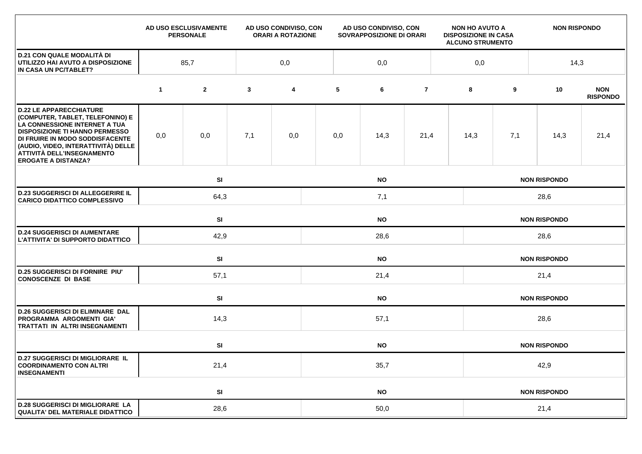|                                                                                                                                                                                                                                                                                    |                 | AD USO ESCLUSIVAMENTE<br><b>PERSONALE</b> |              | AD USO CONDIVISO, CON<br><b>ORARI A ROTAZIONE</b> | AD USO CONDIVISO, CON<br>SOVRAPPOSIZIONE DI ORARI |           |                |                     | <b>NON HO AVUTO A</b><br><b>DISPOSIZIONE IN CASA</b><br><b>ALCUNO STRUMENTO</b> |             | <b>NON RISPONDO</b> |                               |  |  |
|------------------------------------------------------------------------------------------------------------------------------------------------------------------------------------------------------------------------------------------------------------------------------------|-----------------|-------------------------------------------|--------------|---------------------------------------------------|---------------------------------------------------|-----------|----------------|---------------------|---------------------------------------------------------------------------------|-------------|---------------------|-------------------------------|--|--|
| <b>D.21 CON QUALE MODALITÀ DI</b><br>UTILIZZO HAI AVUTO A DISPOSIZIONE<br>IN CASA UN PC/TABLET?                                                                                                                                                                                    | 85,7<br>0,0     |                                           |              |                                                   | 0,0                                               |           |                |                     |                                                                                 | 0,0<br>14,3 |                     |                               |  |  |
|                                                                                                                                                                                                                                                                                    | $\mathbf 1$     | $\mathbf{2}$                              | $\mathbf{3}$ | 4                                                 | 5                                                 | 6         | $\overline{7}$ |                     | 8                                                                               | 9           | 10                  | <b>NON</b><br><b>RISPONDO</b> |  |  |
| <b>D.22 LE APPARECCHIATURE</b><br>(COMPUTER, TABLET, TELEFONINO) E<br>LA CONNESSIONE INTERNET A TUA<br><b>DISPOSIZIONE TI HANNO PERMESSO</b><br>DI FRUIRE IN MODO SODDISFACENTE<br>(AUDIO, VIDEO, INTERATTIVITÀ) DELLE<br>ATTIVITÀ DELL'INSEGNAMENTO<br><b>EROGATE A DISTANZA?</b> | 0,0             | 0,0                                       | 7,1          | 0,0                                               | 0,0                                               | 14,3      | 21,4           |                     | 14,3                                                                            | 7,1         | 14,3                | 21,4                          |  |  |
|                                                                                                                                                                                                                                                                                    |                 | SI<br><b>NO</b>                           |              |                                                   |                                                   |           |                |                     | <b>NON RISPONDO</b>                                                             |             |                     |                               |  |  |
| <b>D.23 SUGGERISCI DI ALLEGGERIRE IL</b><br><b>CARICO DIDATTICO COMPLESSIVO</b>                                                                                                                                                                                                    |                 | 64,3<br>7,1                               |              |                                                   |                                                   |           |                |                     | 28,6                                                                            |             |                     |                               |  |  |
|                                                                                                                                                                                                                                                                                    | SI<br><b>NO</b> |                                           |              |                                                   |                                                   |           |                |                     | <b>NON RISPONDO</b>                                                             |             |                     |                               |  |  |
| <b>D.24 SUGGERISCI DI AUMENTARE</b><br>L'ATTIVITA' DI SUPPORTO DIDATTICO                                                                                                                                                                                                           |                 | 42,9                                      |              |                                                   | 28,6                                              |           |                |                     |                                                                                 | 28,6        |                     |                               |  |  |
|                                                                                                                                                                                                                                                                                    |                 | <b>SI</b>                                 |              |                                                   | <b>NO</b><br><b>NON RISPONDO</b>                  |           |                |                     |                                                                                 |             |                     |                               |  |  |
| <b>D.25 SUGGERISCI DI FORNIRE PIU'</b><br><b>CONOSCENZE DI BASE</b>                                                                                                                                                                                                                |                 | 57,1                                      |              |                                                   | 21,4                                              |           |                |                     |                                                                                 | 21,4        |                     |                               |  |  |
|                                                                                                                                                                                                                                                                                    |                 | SI                                        |              |                                                   |                                                   | <b>NO</b> |                | <b>NON RISPONDO</b> |                                                                                 |             |                     |                               |  |  |
| <b>D.26 SUGGERISCI DI ELIMINARE DAL</b><br>PROGRAMMA ARGOMENTI GIA'<br>TRATTATI IN ALTRI INSEGNAMENTI                                                                                                                                                                              |                 |                                           | 14,3<br>57,1 |                                                   |                                                   |           |                |                     | 28,6                                                                            |             |                     |                               |  |  |
|                                                                                                                                                                                                                                                                                    |                 | SI                                        |              |                                                   |                                                   | <b>NO</b> |                |                     |                                                                                 |             | <b>NON RISPONDO</b> |                               |  |  |
| <b>D.27 SUGGERISCI DI MIGLIORARE IL</b><br><b>COORDINAMENTO CON ALTRI</b><br><b>INSEGNAMENTI</b>                                                                                                                                                                                   |                 | 21,4                                      |              |                                                   | 35,7                                              |           |                |                     |                                                                                 | 42,9        |                     |                               |  |  |
|                                                                                                                                                                                                                                                                                    |                 | SI                                        |              |                                                   |                                                   | <b>NO</b> |                |                     |                                                                                 |             | <b>NON RISPONDO</b> |                               |  |  |
| <b>D.28 SUGGERISCI DI MIGLIORARE LA</b><br><b>QUALITA' DEL MATERIALE DIDATTICO</b>                                                                                                                                                                                                 |                 | 28,6                                      |              |                                                   | 50,0                                              |           |                |                     |                                                                                 | 21,4        |                     |                               |  |  |